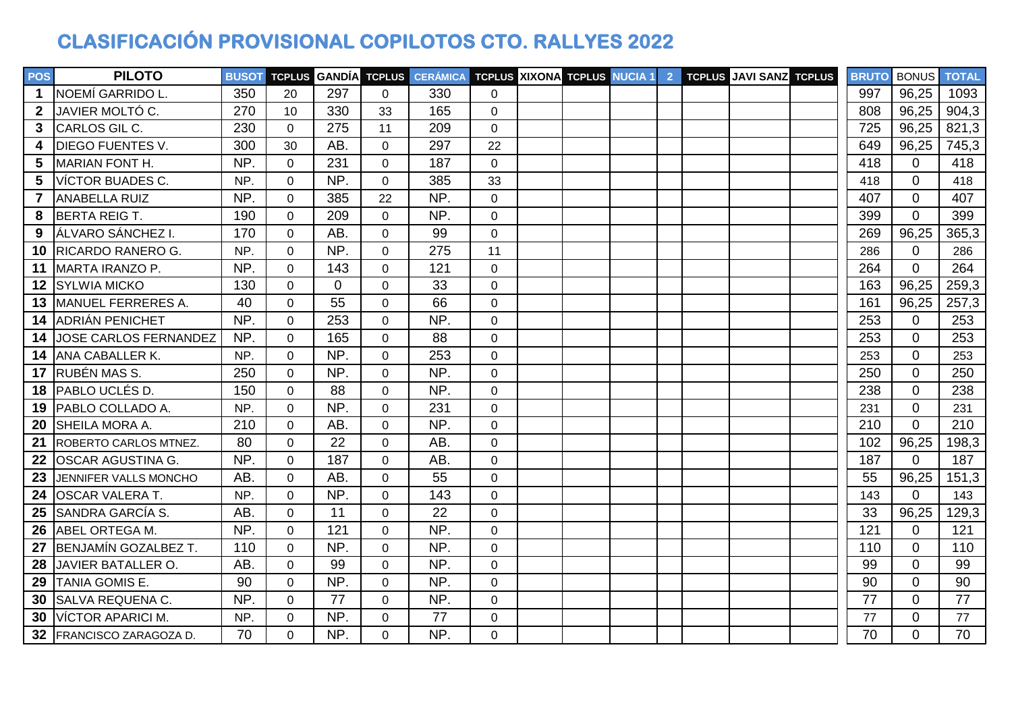## **CLASIFICACIÓN PROVISIONAL COPILOTOS CTO. RALLYES 2022**

| <b>POS</b>      | <b>PILOTO</b>                |     |                |             |                | BUSOT TCPLUS GANDÍA TCPLUS CERÁMICA TCPLUS XIXONA TCPLUS NUCIA 1 2 |                |  |  | <b>TCPLUS JAVI SANZ TCPLUS</b> | <b>BRUTO</b> | <b>BONUS TOTAL</b> |       |
|-----------------|------------------------------|-----|----------------|-------------|----------------|--------------------------------------------------------------------|----------------|--|--|--------------------------------|--------------|--------------------|-------|
| $\mathbf 1$     | <b>NOEMÍ GARRIDO L.</b>      | 350 | 20             | 297         | 0              | 330                                                                | $\Omega$       |  |  |                                | 997          | 96,25              | 1093  |
| $\overline{2}$  | JAVIER MOLTÓ C.              | 270 | 10             | 330         | 33             | 165                                                                | $\mathbf 0$    |  |  |                                | 808          | 96,25              | 904,3 |
| 3 <sup>1</sup>  | CARLOS GIL C.                | 230 | $\mathbf 0$    | 275         | 11             | 209                                                                | $\mathbf 0$    |  |  |                                | 725          | 96,25              | 821,3 |
| 4               | <b>DIEGO FUENTES V.</b>      | 300 | 30             | AB.         | 0              | 297                                                                | 22             |  |  |                                | 649          | 96,25              | 745,3 |
| 5               | MARIAN FONT H.               | NP. | $\mathbf 0$    | 231         | 0              | 187                                                                | $\mathbf 0$    |  |  |                                | 418          | $\Omega$           | 418   |
| $5\overline{)}$ | VÍCTOR BUADES C.             | NP. | $\overline{0}$ | NP.         | $\overline{0}$ | 385                                                                | 33             |  |  |                                | 418          | $\Omega$           | 418   |
| $\overline{7}$  | <b>ANABELLA RUIZ</b>         | NP  | $\mathbf 0$    | 385         | 22             | NP.                                                                | $\mathbf 0$    |  |  |                                | 407          | $\Omega$           | 407   |
| 8               | BERTA REIG T.                | 190 | $\mathbf 0$    | 209         | $\overline{0}$ | NP.                                                                | $\overline{0}$ |  |  |                                | 399          | $\Omega$           | 399   |
| 9               | <b>JÁLVARO SÁNCHEZ I.</b>    | 170 | 0              | AB.         | 0              | 99                                                                 | $\mathbf 0$    |  |  |                                | 269          | 96,25              | 365,3 |
| 10 <sup>°</sup> | <b>RICARDO RANERO G.</b>     | NP. | $\overline{0}$ | NP.         | 0              | 275                                                                | 11             |  |  |                                | 286          | $\Omega$           | 286   |
|                 | 11 MARTA IRANZO P.           | NP. | $\mathbf 0$    | 143         | 0              | 121                                                                | $\mathbf 0$    |  |  |                                | 264          | $\Omega$           | 264   |
| 12              | <b>SYLWIA MICKO</b>          | 130 | $\mathbf 0$    | $\mathbf 0$ | 0              | 33                                                                 | $\mathbf 0$    |  |  |                                | 163          | 96,25              | 259,3 |
|                 | 13 MANUEL FERRERES A.        | 40  | $\mathbf 0$    | 55          | 0              | 66                                                                 | $\mathbf 0$    |  |  |                                | 161          | 96,25              | 257,3 |
|                 | 14 ADRIÁN PENICHET           | NP. | $\mathbf 0$    | 253         | 0              | NP.                                                                | $\mathbf 0$    |  |  |                                | 253          | $\mathbf 0$        | 253   |
| 14              | <b>JOSE CARLOS FERNANDEZ</b> | NP. | $\mathbf 0$    | 165         | 0              | 88                                                                 | $\mathbf 0$    |  |  |                                | 253          | $\Omega$           | 253   |
| 14              | <b>ANA CABALLER K.</b>       | NP. | $\mathbf 0$    | NP.         | $\overline{0}$ | 253                                                                | $\overline{0}$ |  |  |                                | 253          | $\Omega$           | 253   |
|                 | 17 RUBÉN MAS S.              | 250 | $\mathbf 0$    | NP.         | 0              | NP.                                                                | $\mathbf 0$    |  |  |                                | 250          | $\mathbf 0$        | 250   |
| 18              | <b>PABLO UCLÉS D.</b>        | 150 | $\mathbf 0$    | 88          | $\overline{0}$ | NP.                                                                | $\mathbf 0$    |  |  |                                | 238          | $\Omega$           | 238   |
|                 | 19   PABLO COLLADO A.        | NP. | $\mathbf 0$    | NP.         | 0              | 231                                                                | $\mathbf 0$    |  |  |                                | 231          | $\mathbf 0$        | 231   |
| 20              | <b>SHEILA MORA A.</b>        | 210 | $\mathbf 0$    | AB.         | $\overline{0}$ | NP.                                                                | $\mathbf 0$    |  |  |                                | 210          | $\Omega$           | 210   |
| 21              | ROBERTO CARLOS MTNEZ.        | 80  | $\overline{0}$ | 22          | 0              | AB.                                                                | $\mathbf 0$    |  |  |                                | 102          | 96,25              | 198,3 |
|                 | 22 OSCAR AGUSTINA G.         | NP. | $\mathbf 0$    | 187         | 0              | AB.                                                                | $\mathbf 0$    |  |  |                                | 187          | $\Omega$           | 187   |
| 23              | JENNIFER VALLS MONCHO        | AB. | $\mathbf 0$    | AB.         | 0              | 55                                                                 | $\mathbf 0$    |  |  |                                | 55           | 96,25              | 151,3 |
| 24              | <b>OSCAR VALERA T.</b>       | NP. | $\overline{0}$ | NP.         | 0              | 143                                                                | $\mathbf 0$    |  |  |                                | 143          | $\Omega$           | 143   |
| 25              | <b>SANDRA GARCÍA S.</b>      | AB. | $\mathbf 0$    | 11          | $\overline{0}$ | 22                                                                 | $\mathbf 0$    |  |  |                                | 33           | 96,25              | 129,3 |
|                 | 26 ABEL ORTEGA M.            | NP. | $\mathbf 0$    | 121         | 0              | NP.                                                                | $\mathbf 0$    |  |  |                                | 121          | $\Omega$           | 121   |
| 27              | BENJAMÍN GOZALBEZ T.         | 110 | $\mathbf 0$    | NP.         | 0              | NP.                                                                | $\pmb{0}$      |  |  |                                | 110          | $\Omega$           | 110   |
| 28              | JAVIER BATALLER O.           | AB. | $\mathbf 0$    | 99          | 0              | NP.                                                                | $\mathbf 0$    |  |  |                                | 99           | $\Omega$           | 99    |
| 29              | <b>TANIA GOMIS E.</b>        | 90  | $\mathbf 0$    | NP.         | 0              | NP.                                                                | $\mathbf 0$    |  |  |                                | 90           | $\Omega$           | 90    |
| 30              | <b>SALVA REQUENA C.</b>      | NP. | $\mathbf 0$    | 77          | 0              | NP.                                                                | $\mathbf 0$    |  |  |                                | 77           | $\Omega$           | 77    |
| 30              | VÍCTOR APARICI M.            | NP. | $\mathbf 0$    | NP.         | 0              | 77                                                                 | $\mathbf 0$    |  |  |                                | 77           | $\Omega$           | 77    |
|                 | 32 FRANCISCO ZARAGOZA D.     | 70  | $\Omega$       | NP.         | $\Omega$       | NP.                                                                | $\Omega$       |  |  |                                | 70           | $\Omega$           | 70    |